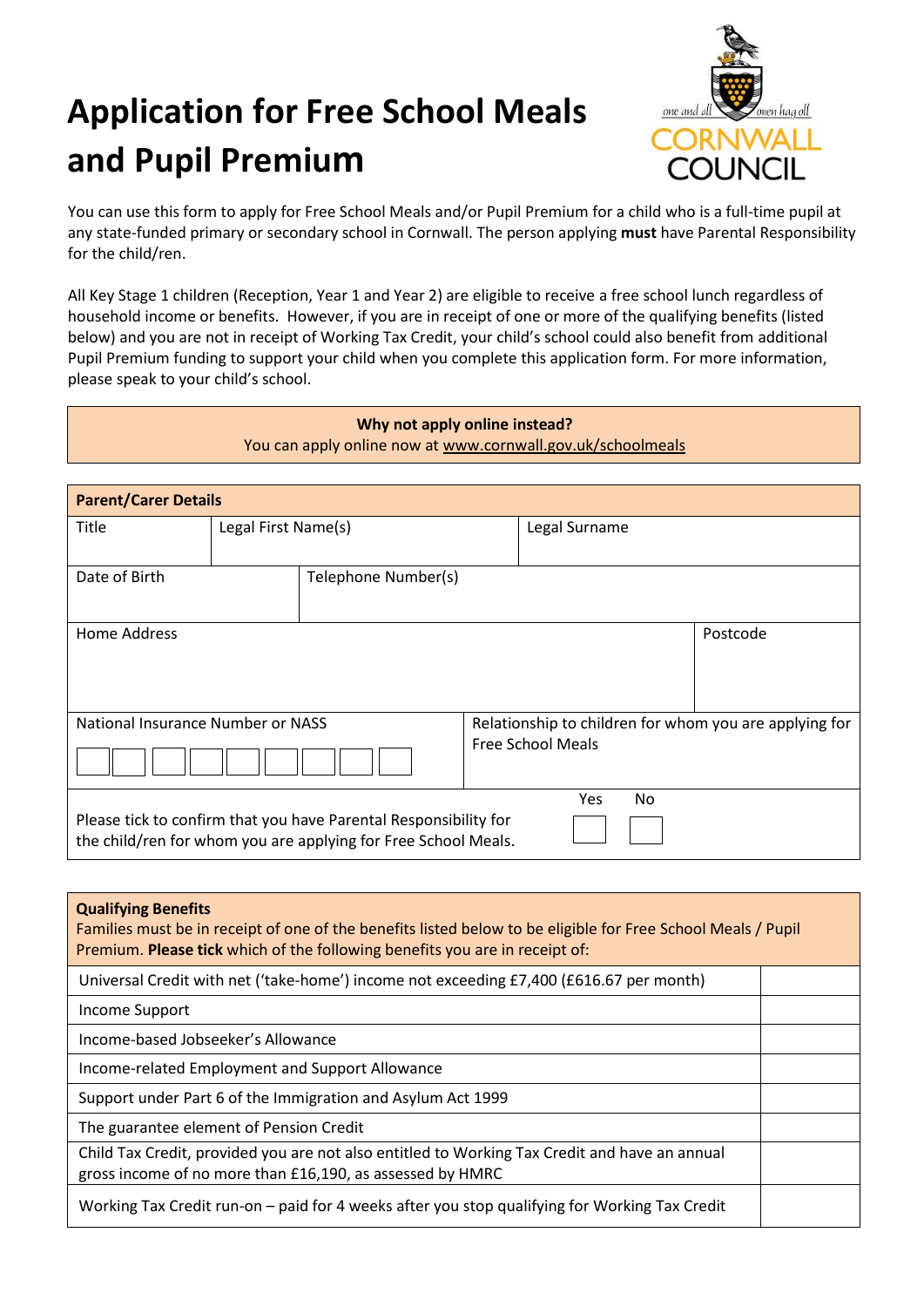## **Application for Free School Meals and Pupil Premium**

Г



You can use this form to apply for Free School Meals and/or Pupil Premium for a child who is a full-time pupil at any state-funded primary or secondary school in Cornwall. The person applying **must** have Parental Responsibility for the child/ren.

All Key Stage 1 children (Reception, Year 1 and Year 2) are eligible to receive a free school lunch regardless of household income or benefits. However, if you are in receipt of one or more of the qualifying benefits (listed below) and you are not in receipt of Working Tax Credit, your child's school could also benefit from additional Pupil Premium funding to support your child when you complete this application form. For more information, please speak to your child's school.

| Why not apply online instead?<br>You can apply online now at www.cornwall.gov.uk/schoolmeals |                     |                                                                                                                                    |                                                                                    |     |           |          |
|----------------------------------------------------------------------------------------------|---------------------|------------------------------------------------------------------------------------------------------------------------------------|------------------------------------------------------------------------------------|-----|-----------|----------|
| <b>Parent/Carer Details</b>                                                                  |                     |                                                                                                                                    |                                                                                    |     |           |          |
| Title                                                                                        | Legal First Name(s) |                                                                                                                                    | Legal Surname                                                                      |     |           |          |
| Date of Birth                                                                                |                     | Telephone Number(s)                                                                                                                |                                                                                    |     |           |          |
| <b>Home Address</b>                                                                          |                     |                                                                                                                                    |                                                                                    |     |           | Postcode |
| National Insurance Number or NASS                                                            |                     |                                                                                                                                    | Relationship to children for whom you are applying for<br><b>Free School Meals</b> |     |           |          |
|                                                                                              |                     | Please tick to confirm that you have Parental Responsibility for<br>the child/ren for whom you are applying for Free School Meals. |                                                                                    | Yes | <b>No</b> |          |

| <b>Qualifying Benefits</b><br>Families must be in receipt of one of the benefits listed below to be eligible for Free School Meals / Pupil<br>Premium. Please tick which of the following benefits you are in receipt of: |  |
|---------------------------------------------------------------------------------------------------------------------------------------------------------------------------------------------------------------------------|--|
| Universal Credit with net ('take-home') income not exceeding £7,400 (£616.67 per month)                                                                                                                                   |  |
| Income Support                                                                                                                                                                                                            |  |
| Income-based Jobseeker's Allowance                                                                                                                                                                                        |  |
| Income-related Employment and Support Allowance                                                                                                                                                                           |  |
| Support under Part 6 of the Immigration and Asylum Act 1999                                                                                                                                                               |  |
| The guarantee element of Pension Credit                                                                                                                                                                                   |  |
| Child Tax Credit, provided you are not also entitled to Working Tax Credit and have an annual<br>gross income of no more than £16,190, as assessed by HMRC                                                                |  |
| Working Tax Credit run-on - paid for 4 weeks after you stop qualifying for Working Tax Credit                                                                                                                             |  |